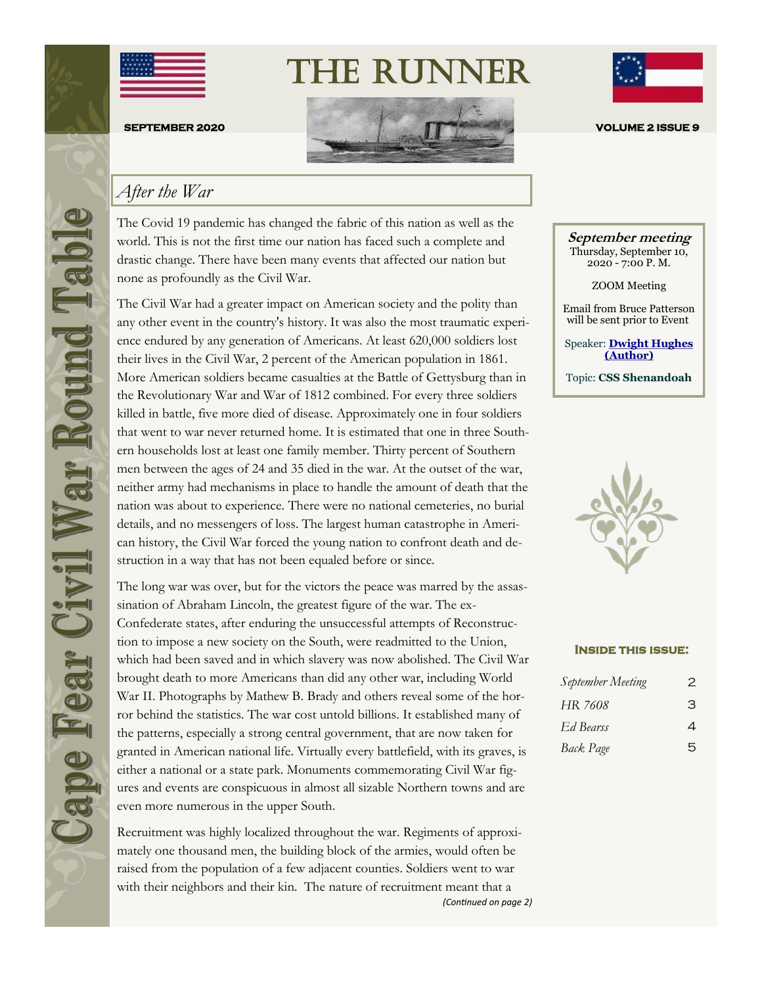



The Runner



#### *After the War*

The Covid 19 pandemic has changed the fabric of this nation as well as the world. This is not the first time our nation has faced such a complete and drastic change. There have been many events that affected our nation but none as profoundly as the Civil War.

The Civil War had a greater impact on American society and the polity than any other event in the country's history. It was also the most traumatic experience endured by any generation of Americans. At least 620,000 soldiers lost their lives in the Civil War, 2 percent of the American population in 1861. More American soldiers became casualties at the Battle of Gettysburg than in the Revolutionary War and War of 1812 combined. For every three soldiers killed in battle, five more died of disease. Approximately one in four soldiers that went to war never returned home. It is estimated that one in three Southern households lost at least one family member. Thirty percent of Southern men between the ages of 24 and 35 died in the war. At the outset of the war, neither army had mechanisms in place to handle the amount of death that the nation was about to experience. There were no national cemeteries, no burial details, and no messengers of loss. The largest human catastrophe in American history, the Civil War forced the young nation to confront death and destruction in a way that has not been equaled before or since.

The long war was over, but for the victors the peace was marred by the assassination of Abraham Lincoln, the greatest figure of the war. The ex-Confederate states, after enduring the unsuccessful attempts of Reconstruction to impose a new society on the South, were readmitted to the Union, which had been saved and in which slavery was now abolished. The Civil War brought death to more Americans than did any other war, including World War II. Photographs by Mathew B. Brady and others reveal some of the horror behind the statistics. The war cost untold billions. It established many of the patterns, especially a strong central government, that are now taken for granted in American national life. Virtually every battlefield, with its graves, is either a national or a state park. Monuments commemorating Civil War figures and events are conspicuous in almost all sizable Northern towns and are even more numerous in the upper South.

Recruitment was highly localized throughout the war. Regiments of approximately one thousand men, the building block of the armies, would often be raised from the population of a few adjacent counties. Soldiers went to war with their neighbors and their kin. The nature of recruitment meant that a *(Continued on page 2)*



**September meeting** Thursday, September 10, 2020 - 7:00 P. M.

ZOOM Meeting

Email from Bruce Patterson will be sent prior to Event

Speaker: **[Dwight Hughes](https://www.amazon.com/Confederate-Biography-Cruise-CSS-Shenandoah/dp/1612518419)  [\(Author\)](https://www.amazon.com/Confederate-Biography-Cruise-CSS-Shenandoah/dp/1612518419)**

Topic: **CSS Shenandoah**



#### **Inside this issue:**

| September Meeting | 2 |
|-------------------|---|
| HR 7608           | З |
| Ed Bearss         | 4 |
| <b>Back Page</b>  | 5 |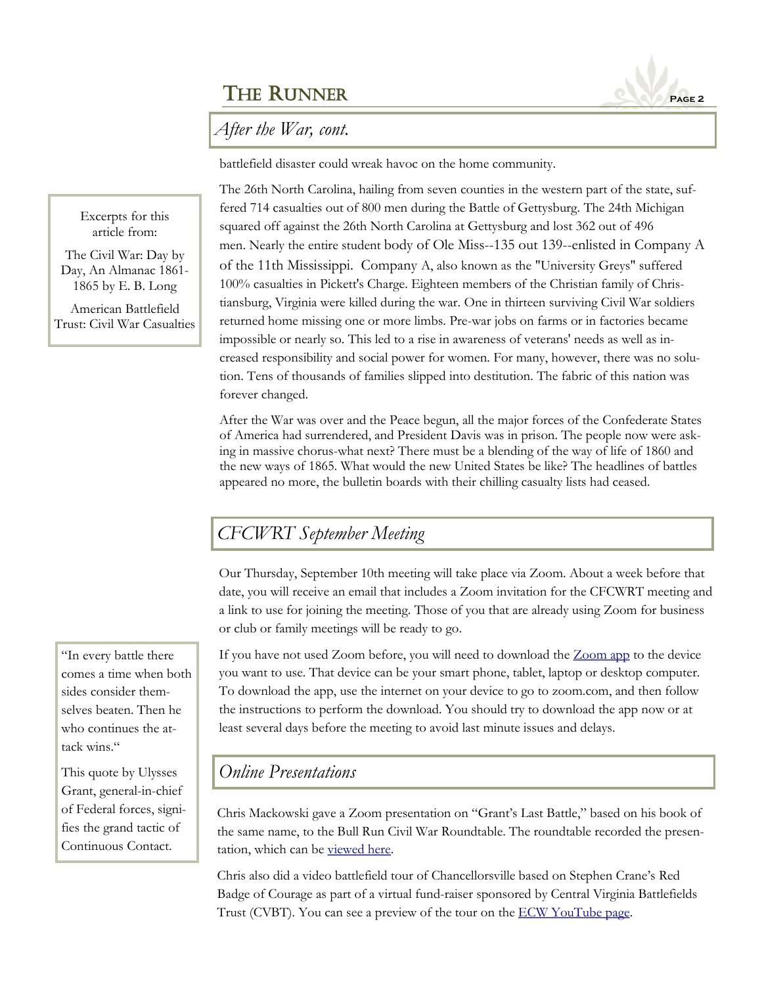## THE RUNNER **PAGE 2**



battlefield disaster could wreak havoc on the home community.

The 26th North Carolina, hailing from seven counties in the western part of the state, suffered 714 casualties out of 800 men during the Battle of Gettysburg. The 24th Michigan squared off against the 26th North Carolina at Gettysburg and lost 362 out of 496 men. Nearly the entire student body of Ole Miss--135 out 139--enlisted in Company A of the 11th Mississippi. Company A, also known as the "University Greys" suffered 100% casualties in Pickett's Charge. Eighteen members of the Christian family of Christiansburg, Virginia were killed during the war. One in thirteen surviving Civil War soldiers returned home missing one or more limbs. Pre-war jobs on farms or in factories became impossible or nearly so. This led to a rise in awareness of veterans' needs as well as increased responsibility and social power for women. For many, however, there was no solution. Tens of thousands of families slipped into destitution. The fabric of this nation was forever changed.

After the War was over and the Peace begun, all the major forces of the Confederate States of America had surrendered, and President Davis was in prison. The people now were asking in massive chorus-what next? There must be a blending of the way of life of 1860 and the new ways of 1865. What would the new United States be like? The headlines of battles appeared no more, the bulletin boards with their chilling casualty lists had ceased.

# *CFCWRT September Meeting*

Our Thursday, September 10th meeting will take place via Zoom. About a week before that date, you will receive an email that includes a Zoom invitation for the CFCWRT meeting and a link to use for joining the meeting. Those of you that are already using Zoom for business or club or family meetings will be ready to go.

If you have not used Zoom before, you will need to download the [Zoom app](https://zoom.us/download) to the device you want to use. That device can be your smart phone, tablet, laptop or desktop computer. To download the app, use the internet on your device to go to zoom.com, and then follow the instructions to perform the download. You should try to download the app now or at least several days before the meeting to avoid last minute issues and delays.

#### *Online Presentations*

Chris Mackowski gave a Zoom presentation on "Grant's Last Battle," based on his book of the same name, to the Bull Run Civil War Roundtable. The roundtable recorded the presentation, which can be [viewed here.](http://bullruncwrt.org/BRCWRT/AudioArchives/lecturer-Mackowski20/ChrisMackowskizoom_0.mp4)

Chris also did a video battlefield tour of Chancellorsville based on Stephen Crane's Red Badge of Courage as part of a virtual fund-raiser sponsored by Central Virginia Battlefields Trust (CVBT). You can see a preview of the tour on the [ECW YouTube page.](https://www.youtube.com/watch?v=ICrbmAgHAPA&feature=youtu.be) 

Excerpts for this article from:

The Civil War: Day by Day, An Almanac 1861- 1865 by E. B. Long

American Battlefield Trust: Civil War Casualties

"In every battle there comes a time when both sides consider themselves beaten. Then he who continues the attack wins."

This quote by Ulysses Grant, general-in-chief of Federal forces, signifies the grand tactic of Continuous Contact.

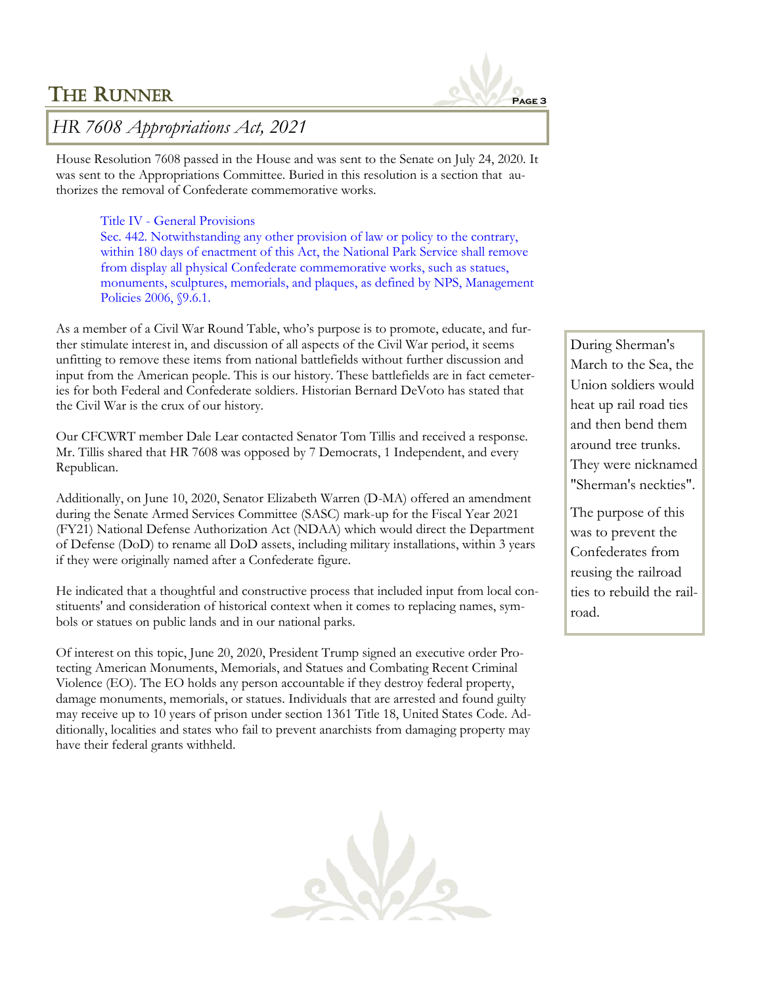## THE RUNNER **PAGE 3**



### *HR 7608 Appropriations Act, 2021*

House Resolution 7608 passed in the House and was sent to the Senate on July 24, 2020. It was sent to the Appropriations Committee. Buried in this resolution is a section that authorizes the removal of Confederate commemorative works.

#### Title IV - General Provisions

Sec. 442. Notwithstanding any other provision of law or policy to the contrary, within 180 days of enactment of this Act, the National Park Service shall remove from display all physical Confederate commemorative works, such as statues, monuments, sculptures, memorials, and plaques, as defined by NPS, Management Policies 2006, §9.6.1.

As a member of a Civil War Round Table, who's purpose is to promote, educate, and further stimulate interest in, and discussion of all aspects of the Civil War period, it seems unfitting to remove these items from national battlefields without further discussion and input from the American people. This is our history. These battlefields are in fact cemeteries for both Federal and Confederate soldiers. Historian Bernard DeVoto has stated that the Civil War is the crux of our history.

Our CFCWRT member Dale Lear contacted Senator Tom Tillis and received a response. Mr. Tillis shared that HR 7608 was opposed by 7 Democrats, 1 Independent, and every Republican.

Additionally, on June 10, 2020, Senator Elizabeth Warren (D-MA) offered an amendment during the Senate Armed Services Committee (SASC) mark-up for the Fiscal Year 2021 (FY21) National Defense Authorization Act (NDAA) which would direct the Department of Defense (DoD) to rename all DoD assets, including military installations, within 3 years if they were originally named after a Confederate figure.

He indicated that a thoughtful and constructive process that included input from local constituents' and consideration of historical context when it comes to replacing names, symbols or statues on public lands and in our national parks.

Of interest on this topic, June 20, 2020, President Trump signed an executive order Protecting American Monuments, Memorials, and Statues and Combating Recent Criminal Violence (EO). The EO holds any person accountable if they destroy federal property, damage monuments, memorials, or statues. Individuals that are arrested and found guilty may receive up to 10 years of prison under section 1361 Title 18, United States Code. Additionally, localities and states who fail to prevent anarchists from damaging property may have their federal grants withheld.



During Sherman's March to the Sea, the Union soldiers would heat up rail road ties and then bend them around tree trunks. They were nicknamed "Sherman's neckties".

The purpose of this was to prevent the Confederates from reusing the railroad ties to rebuild the railroad.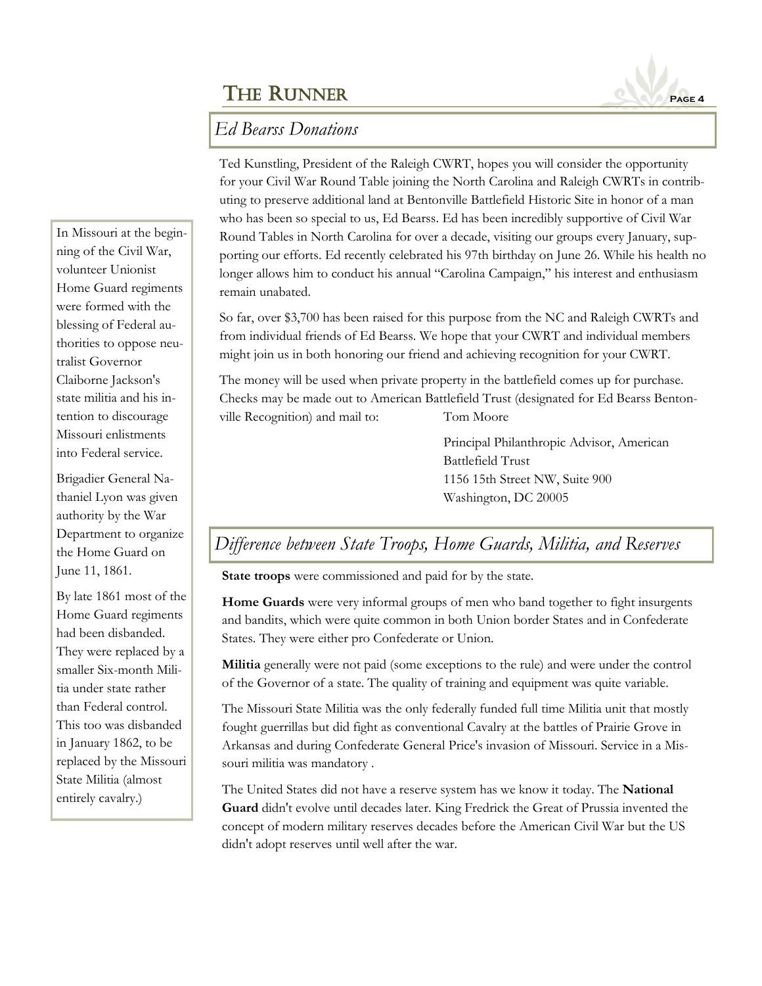# THE RUNNER **PAGE 4**



Ted Kunstling, President of the Raleigh CWRT, hopes you will consider the opportunity for your Civil War Round Table joining the North Carolina and Raleigh CWRTs in contributing to preserve additional land at Bentonville Battlefield Historic Site in honor of a man who has been so special to us, Ed Bearss. Ed has been incredibly supportive of Civil War Round Tables in North Carolina for over a decade, visiting our groups every January, supporting our efforts. Ed recently celebrated his 97th birthday on June 26. While his health no longer allows him to conduct his annual "Carolina Campaign," his interest and enthusiasm remain unabated.

So far, over \$3,700 has been raised for this purpose from the NC and Raleigh CWRTs and from individual friends of Ed Bearss. We hope that your CWRT and individual members might join us in both honoring our friend and achieving recognition for your CWRT.

The money will be used when private property in the battlefield comes up for purchase. Checks may be made out to American Battlefield Trust (designated for Ed Bearss Bentonville Recognition) and mail to: Tom Moore

> Principal Philanthropic Advisor, American Battlefield Trust 1156 15th Street NW, Suite 900 Washington, DC 20005

# *Difference between State Troops, Home Guards, Militia, and Reserves*

**State troops** were commissioned and paid for by the state.

**Home Guards** were very informal groups of men who band together to fight insurgents and bandits, which were quite common in both Union border States and in Confederate States. They were either pro Confederate or Union.

**Militia** generally were not paid (some exceptions to the rule) and were under the control of the Governor of a state. The quality of training and equipment was quite variable.

The Missouri State Militia was the only federally funded full time Militia unit that mostly fought guerrillas but did fight as conventional Cavalry at the battles of Prairie Grove in Arkansas and during Confederate General Price's invasion of Missouri. Service in a Missouri militia was mandatory .

The United States did not have a reserve system has we know it today. The **National Guard** didn't evolve until decades later. King Fredrick the Great of Prussia invented the concept of modern military reserves decades before the American Civil War but the US didn't adopt reserves until well after the war.

In Missouri at the beginning of the Civil War, volunteer Unionist Home Guard regiments were formed with the blessing of Federal authorities to oppose neutralist Governor Claiborne Jackson's state militia and his intention to discourage Missouri enlistments into Federal service.

Brigadier General Nathaniel Lyon was given authority by the War Department to organize the Home Guard on June 11, 1861.

By late 1861 most of the Home Guard regiments had been disbanded. They were replaced by a smaller Six-month Militia under state rather than Federal control. This too was disbanded in January 1862, to be replaced by the Missouri State Militia (almost entirely cavalry.)